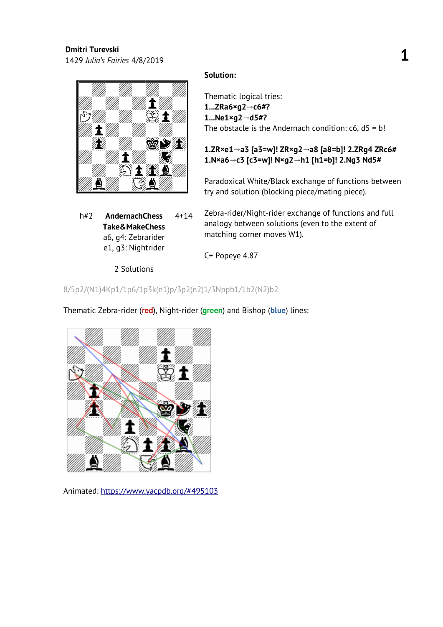<sup>1429</sup>*Julia's Fairies* 4/8/2019 **1**



h#2 **AndernachChess Take&MakeChess** a6, g4: Zebrarider e1, g3: Nightrider 4+14

2 Solutions

## **Solution:**

Thematic logical tries: **1...ZRa6×g2 c6#? →** 1...Ne1×g2→d5#? The obstacle is the Andernach condition:  $c6$ ,  $d5 = b!$ 

# 1.ZR×e1→a3 [a3=w]! ZR×g2→a8 [a8=b]! 2.ZRg4 ZRc6# 1.N×a6→c3 [c3=w]! N×g2→h1 [h1=b]! 2.Ng3 Nd5#

Paradoxical White/Black exchange of functions between try and solution (blocking piece/mating piece).

Zebra-rider/Night-rider exchange of functions and full analogy between solutions (even to the extent of matching corner moves W1).

C+ Popeye 4.87

## 8/5p2/(N1)4Kp1/1p6/1p3k(n1)p/3p2(n2)1/3Nppb1/1b2(N2)b2



Thematic Zebra-rider (**red**), Night-rider (**green**) and Bishop (**blue**) lines: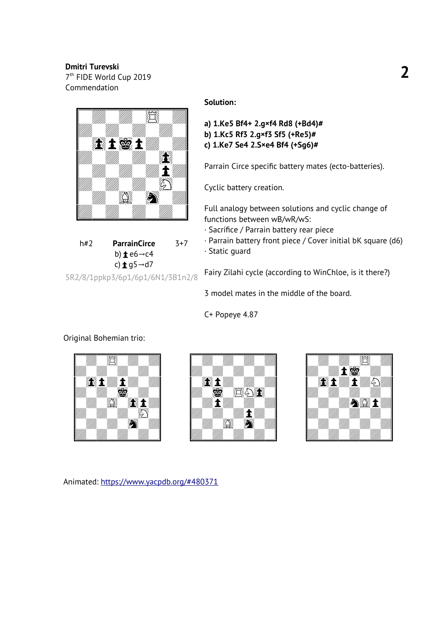7 th FIDE World Cup 2019 Commendation



h#2 **ParrainCirce** b) **<u>t</u>** e6→c4 c) **±** q5→d7 3+7 5R2/8/1ppkp3/6p1/6p1/6N1/3B1n2/8

## **Solution:**

```
a) 1.Ke5 Bf4+ 2.g×f4 Rd8 (+Bd4)# 
b) 1.Kc5 Rf3 2.g×f3 Sf5 (+Re5)# 
c) 1.Ke7 Se4 2.S×e4 Bf4 (+Sg6)#
```
Parrain Circe specific battery mates (ecto-batteries).

Cyclic battery creation.

Full analogy between solutions and cyclic change of functions between wB/wR/wS:

- · Sacrifice / Parrain battery rear piece
- · Parrain battery front piece / Cover initial bK square (d6)
- · Static guard

Fairy Zilahi cycle (according to WinChloe, is it there?)

3 model mates in the middle of the board.

C+ Popeye 4.87

#### Original Bohemian trio:





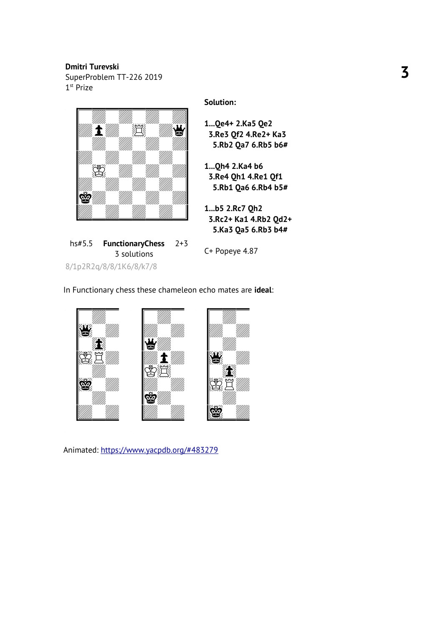SuperProblem TT-226 2019  $1<sup>st</sup>$  Prize



hs#5.5 **FunctionaryChess** 3 solutions 2+3

8/1p2R2q/8/8/1K6/8/k7/8

**Solution:**

- **1...Qe4+ 2.Ka5 Qe2 3.Re3 Qf2 4.Re2+ Ka3 5.Rb2 Qa7 6.Rb5 b6#**
- **1...Qh4 2.Ka4 b6 3.Re4 Qh1 4.Re1 Qf1 5.Rb1 Qa6 6.Rb4 b5#**
- **1...b5 2.Rc7 Qh2 3.Rc2+ Ka1 4.Rb2 Qd2+ 5.Ka3 Qa5 6.Rb3 b4#**

C+ Popeye 4.87

In Functionary chess these chameleon echo mates are **ideal** :

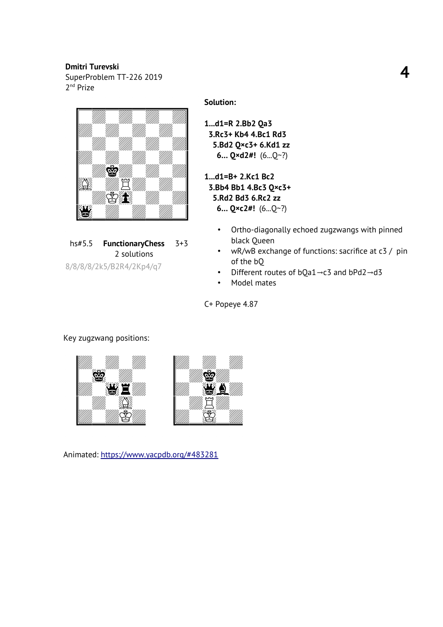SuperProblem TT-226 2019 2<sup>nd</sup> Prize



hs#5.5 **FunctionaryChess** 2 solutions 3+3

8/8/8/8/2k5/B2R4/2Kp4/q7

**Solution:**

**1...d1=R 2.Bb2 Qa3 3.Rc3+ Kb4 4.Bc1 Rd3 5.Bd2 Q×c3+ 6.Kd1 zz 6… Q×d2#!** (6...Q~?)

**1...d1=B+ 2.Kc1 Bc2 3.Bb4 Bb1 4.Bc3 Q×c3+ 5.Rd2 Bd3 6.Rc2 zz 6… Q×c2#!** (6...Q~?)

- Ortho-diagonally echoed zugzwangs with pinned black Queen
- wR/wB exchange of functions: sacrifice at c3 / pin of the bQ
- Different routes of  $bQa1 \rightarrow c3$  and  $bPd2 \rightarrow d3$
- Model mates

C+ Popeye 4.87

# Key zugzwang positions:



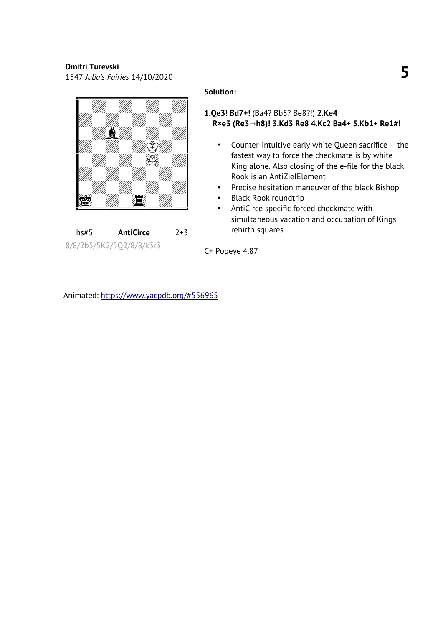<sup>1547</sup>*Julia's Fairies* 14/10/2020 **5**



hs#5 **AntiCirce** 2+3 8/8/2b5/5K2/5Q2/8/8/k3r3

#### **Solution:**

## **1.Qe3! Bd7+!** (Ba4? Bb5? Be8?!) **2.Ke4**   $R×e3$  (Re3→h8)! 3.Kd3 Re8 4.Kc2 Ba4+ 5.Kb1+ Re1#!

- Counter-intuitive early white Queen sacrifice the fastest way to force the checkmate is by white King alone. Also closing of the e-file for the black Rook is an AntiZielElement
- Precise hesitation maneuver of the black Bishop
- Black Rook roundtrip
- AntiCirce specific forced checkmate with simultaneous vacation and occupation of Kings rebirth squares

C+ Popeye 4.87